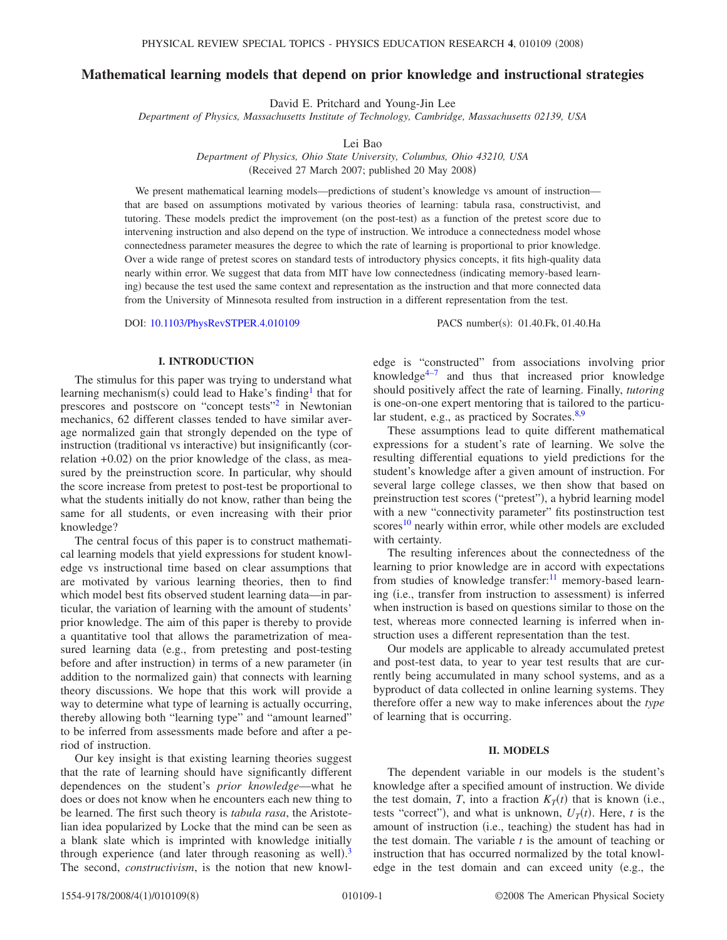# **Mathematical learning models that depend on prior knowledge and instructional strategies**

David E. Pritchard and Young-Jin Lee

*Department of Physics, Massachusetts Institute of Technology, Cambridge, Massachusetts 02139, USA*

Lei Bao

*Department of Physics, Ohio State University, Columbus, Ohio 43210, USA*

(Received 27 March 2007; published 20 May 2008)

We present mathematical learning models—predictions of student's knowledge vs amount of instruction that are based on assumptions motivated by various theories of learning: tabula rasa, constructivist, and tutoring. These models predict the improvement (on the post-test) as a function of the pretest score due to intervening instruction and also depend on the type of instruction. We introduce a connectedness model whose connectedness parameter measures the degree to which the rate of learning is proportional to prior knowledge. Over a wide range of pretest scores on standard tests of introductory physics concepts, it fits high-quality data nearly within error. We suggest that data from MIT have low connectedness indicating memory-based learning) because the test used the same context and representation as the instruction and that more connected data from the University of Minnesota resulted from instruction in a different representation from the test.

DOI: [10.1103/PhysRevSTPER.4.010109](http://dx.doi.org/10.1103/PhysRevSTPER.4.010109)

PACS number(s): 01.40.Fk, 01.40.Ha

## **I. INTRODUCTION**

The stimulus for this paper was trying to understand what learning mechanism(s) could lead to Hake's finding<sup>1</sup> that for prescores and postscore on "concept tests["2](#page-7-1) in Newtonian mechanics, 62 different classes tended to have similar average normalized gain that strongly depended on the type of instruction (traditional vs interactive) but insignificantly (correlation +0.02) on the prior knowledge of the class, as measured by the preinstruction score. In particular, why should the score increase from pretest to post-test be proportional to what the students initially do not know, rather than being the same for all students, or even increasing with their prior knowledge?

The central focus of this paper is to construct mathematical learning models that yield expressions for student knowledge vs instructional time based on clear assumptions that are motivated by various learning theories, then to find which model best fits observed student learning data—in particular, the variation of learning with the amount of students' prior knowledge. The aim of this paper is thereby to provide a quantitative tool that allows the parametrization of measured learning data (e.g., from pretesting and post-testing before and after instruction) in terms of a new parameter (in addition to the normalized gain) that connects with learning theory discussions. We hope that this work will provide a way to determine what type of learning is actually occurring, thereby allowing both "learning type" and "amount learned" to be inferred from assessments made before and after a period of instruction.

Our key insight is that existing learning theories suggest that the rate of learning should have significantly different dependences on the student's *prior knowledge*—what he does or does not know when he encounters each new thing to be learned. The first such theory is *tabula rasa*, the Aristotelian idea popularized by Locke that the mind can be seen as a blank slate which is imprinted with knowledge initially through experience (and later through reasoning as well).<sup>[3](#page-7-2)</sup> The second, *constructivism*, is the notion that new knowledge is "constructed" from associations involving prior knowledge $4-7$  $4-7$  and thus that increased prior knowledge should positively affect the rate of learning. Finally, *tutoring* is one-on-one expert mentoring that is tailored to the particular student, e.g., as practiced by Socrates. $8.9$  $8.9$ 

These assumptions lead to quite different mathematical expressions for a student's rate of learning. We solve the resulting differential equations to yield predictions for the student's knowledge after a given amount of instruction. For several large college classes, we then show that based on preinstruction test scores ("pretest"), a hybrid learning model with a new "connectivity parameter" fits postinstruction test scores<sup>10</sup> nearly within error, while other models are excluded with certainty.

The resulting inferences about the connectedness of the learning to prior knowledge are in accord with expectations from studies of knowledge transfer: $\frac{11}{11}$  memory-based learning (i.e., transfer from instruction to assessment) is inferred when instruction is based on questions similar to those on the test, whereas more connected learning is inferred when instruction uses a different representation than the test.

Our models are applicable to already accumulated pretest and post-test data, to year to year test results that are currently being accumulated in many school systems, and as a byproduct of data collected in online learning systems. They therefore offer a new way to make inferences about the *type* of learning that is occurring.

# **II. MODELS**

The dependent variable in our models is the student's knowledge after a specified amount of instruction. We divide the test domain, *T*, into a fraction  $K_T(t)$  that is known (i.e., tests "correct"), and what is unknown,  $U_T(t)$ . Here, *t* is the amount of instruction (i.e., teaching) the student has had in the test domain. The variable *t* is the amount of teaching or instruction that has occurred normalized by the total knowledge in the test domain and can exceed unity (e.g., the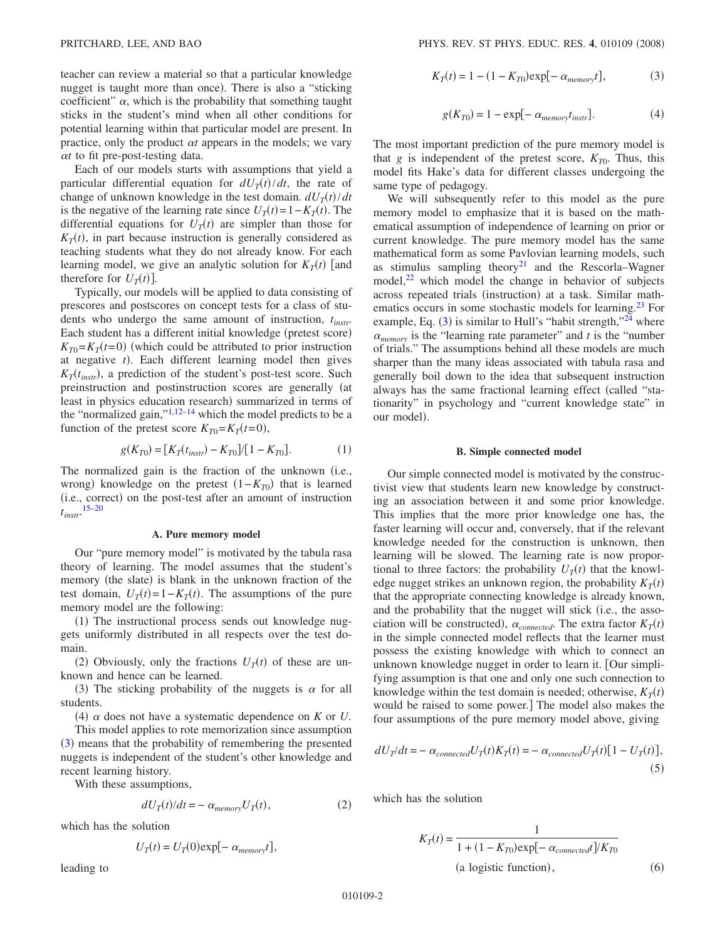teacher can review a material so that a particular knowledge nugget is taught more than once). There is also a "sticking coefficient"  $\alpha$ , which is the probability that something taught sticks in the student's mind when all other conditions for potential learning within that particular model are present. In practice, only the product  $\alpha t$  appears in the models; we vary  $\alpha t$  to fit pre-post-testing data.

Each of our models starts with assumptions that yield a particular differential equation for  $dU_T(t)/dt$ , the rate of change of unknown knowledge in the test domain.  $dU_T(t)/dt$ is the negative of the learning rate since  $U_T(t) = 1 - K_T(t)$ . The differential equations for  $U_T(t)$  are simpler than those for  $K_T(t)$ , in part because instruction is generally considered as teaching students what they do not already know. For each learning model, we give an analytic solution for  $K_T(t)$  [and therefore for  $U_T(t)$ .

Typically, our models will be applied to data consisting of prescores and postscores on concept tests for a class of students who undergo the same amount of instruction, *tinstr*. Each student has a different initial knowledge (pretest score)  $K_{T0} = K_T(t=0)$  (which could be attributed to prior instruction at negative *t*). Each different learning model then gives  $K_T(t_{instr})$ , a prediction of the student's post-test score. Such preinstruction and postinstruction scores are generally (at least in physics education research) summarized in terms of the "normalized gain," $1,12-14$  $1,12-14$  $1,12-14$  which the model predicts to be a function of the pretest score  $K_{T0} = K_T(t=0)$ ,

$$
g(K_{T0}) = [K_T(t_{instr}) - K_{T0}]/[1 - K_{T0}].
$$
 (1)

<span id="page-1-1"></span>The normalized gain is the fraction of the unknown (i.e., wrong) knowledge on the pretest  $(1 - K_{T0})$  that is learned (i.e., correct) on the post-test after an amount of instruction *tinstr*. [15](#page-7-11)[–20](#page-7-12)

#### **A. Pure memory model**

Our "pure memory model" is motivated by the tabula rasa theory of learning. The model assumes that the student's memory (the slate) is blank in the unknown fraction of the test domain,  $U_T(t) = 1 - K_T(t)$ . The assumptions of the pure memory model are the following:

(1) The instructional process sends out knowledge nuggets uniformly distributed in all respects over the test domain.

(2) Obviously, only the fractions  $U_T(t)$  of these are unknown and hence can be learned.

(3) The sticking probability of the nuggets is  $\alpha$  for all students.

(4)  $\alpha$  does not have a systematic dependence on *K* or *U*.

This model applies to rote memorization since assumption ([3](#page-1-0)) means that the probability of remembering the presented nuggets is independent of the student's other knowledge and recent learning history.

With these assumptions,

$$
dU_T(t)/dt = -\alpha_{memory}U_T(t),\tag{2}
$$

which has the solution

$$
U_T(t) = U_T(0) \exp[-\alpha_{memory}t],
$$

leading to

<span id="page-1-0"></span>
$$
K_T(t) = 1 - (1 - K_{T0}) \exp[-\alpha_{memory}t],
$$
 (3)

$$
g(K_{T0}) = 1 - \exp[-\alpha_{memory}t_{instr}].
$$
 (4)

<span id="page-1-2"></span>The most important prediction of the pure memory model is that *g* is independent of the pretest score,  $K_{T0}$ . Thus, this model fits Hake's data for different classes undergoing the same type of pedagogy.

We will subsequently refer to this model as the pure memory model to emphasize that it is based on the mathematical assumption of independence of learning on prior or current knowledge. The pure memory model has the same mathematical form as some Pavlovian learning models, such as stimulus sampling theory $21$  and the Rescorla–Wagner model, $^{22}$  which model the change in behavior of subjects across repeated trials (instruction) at a task. Similar mathematics occurs in some stochastic models for learning.<sup>23</sup> For example, Eq.  $(3)$  $(3)$  $(3)$  is similar to Hull's "habit strength,"<sup>24</sup> where  $\alpha_{memory}$  is the "learning rate parameter" and *t* is the "number" of trials." The assumptions behind all these models are much sharper than the many ideas associated with tabula rasa and generally boil down to the idea that subsequent instruction always has the same fractional learning effect (called "stationarity" in psychology and "current knowledge state" in our model).

#### **B. Simple connected model**

Our simple connected model is motivated by the constructivist view that students learn new knowledge by constructing an association between it and some prior knowledge. This implies that the more prior knowledge one has, the faster learning will occur and, conversely, that if the relevant knowledge needed for the construction is unknown, then learning will be slowed. The learning rate is now proportional to three factors: the probability  $U_T(t)$  that the knowledge nugget strikes an unknown region, the probability  $K_T(t)$ that the appropriate connecting knowledge is already known, and the probability that the nugget will stick (i.e., the association will be constructed),  $\alpha_{connected}$ . The extra factor  $K_T(t)$ in the simple connected model reflects that the learner must possess the existing knowledge with which to connect an unknown knowledge nugget in order to learn it. [Our simplifying assumption is that one and only one such connection to knowledge within the test domain is needed; otherwise,  $K_T(t)$ would be raised to some power.] The model also makes the four assumptions of the pure memory model above, giving

$$
dU_T/dt = -\alpha_{connected}U_T(t)K_T(t) = -\alpha_{connected}U_T(t)[1 - U_T(t)],
$$
\n(5)

which has the solution

$$
K_T(t) = \frac{1}{1 + (1 - K_{T0}) \exp[-\alpha_{connected}t]/K_{T0}}
$$
  
(a logistic function), (6)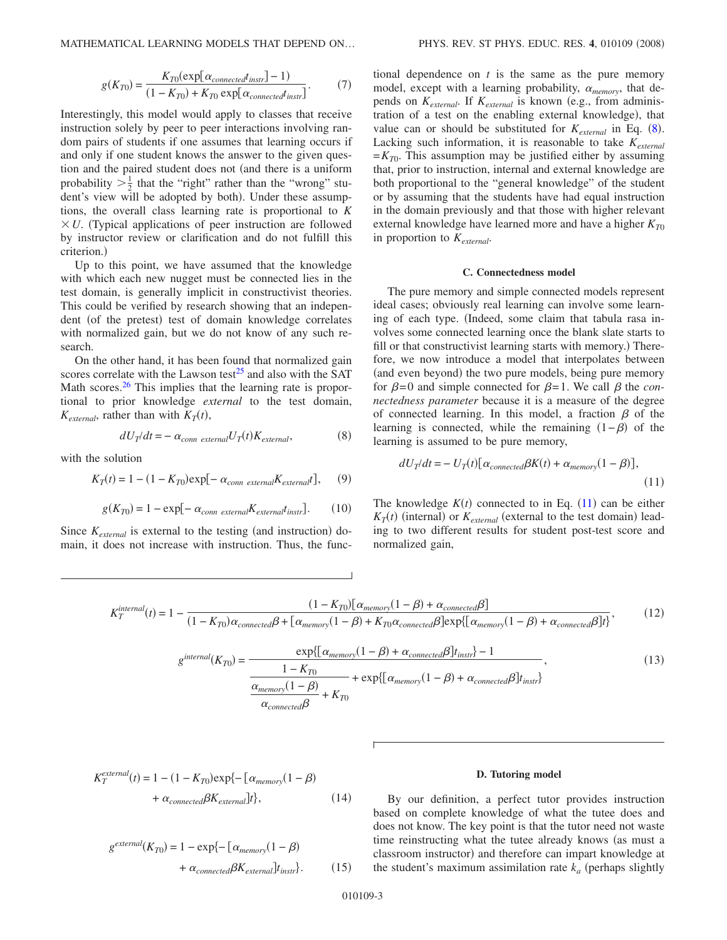$$
g(K_{T0}) = \frac{K_{T0}(\exp[\alpha_{connected}t_{instr}] - 1)}{(1 - K_{T0}) + K_{T0}\exp[\alpha_{connected}t_{instr}]}. \tag{7}
$$

Interestingly, this model would apply to classes that receive instruction solely by peer to peer interactions involving random pairs of students if one assumes that learning occurs if and only if one student knows the answer to the given question and the paired student does not (and there is a uniform probability  $> \frac{1}{2}$  that the "right" rather than the "wrong" student's view will be adopted by both). Under these assumptions, the overall class learning rate is proportional to *K*  $\times U$ . (Typical applications of peer instruction are followed by instructor review or clarification and do not fulfill this criterion.)

Up to this point, we have assumed that the knowledge with which each new nugget must be connected lies in the test domain, is generally implicit in constructivist theories. This could be verified by research showing that an independent (of the pretest) test of domain knowledge correlates with normalized gain, but we do not know of any such research.

On the other hand, it has been found that normalized gain scores correlate with the Lawson test<sup>25</sup> and also with the SAT Math scores.<sup>26</sup> This implies that the learning rate is proportional to prior knowledge *external* to the test domain,  $K_{external}$ , rather than with  $K_T(t)$ ,

$$
dU_T/dt = -\alpha_{conn\ external}U_T(t)K_{external},\tag{8}
$$

<span id="page-2-0"></span>with the solution

$$
K_T(t) = 1 - (1 - K_{T0}) \exp[-\alpha_{conn\ external}K_{external}t],
$$
 (9)

$$
g(K_{T0}) = 1 - \exp[-\alpha_{conn\_external}K_{external}t_{instr}].
$$
 (10)

Since  $K_{external}$  is external to the testing (and instruction) domain, it does not increase with instruction. Thus, the functional dependence on *t* is the same as the pure memory model, except with a learning probability,  $\alpha_{memory}$ , that depends on  $K_{external}$ . If  $K_{external}$  is known (e.g., from administration of a test on the enabling external knowledge), that value can or should be substituted for  $K_{external}$  in Eq. ([8](#page-2-0)). Lacking such information, it is reasonable to take  $K_{external}$  $=K_{T0}$ . This assumption may be justified either by assuming that, prior to instruction, internal and external knowledge are both proportional to the "general knowledge" of the student or by assuming that the students have had equal instruction in the domain previously and that those with higher relevant external knowledge have learned more and have a higher  $K_{70}$ in proportion to *Kexternal*.

## **C. Connectedness model**

The pure memory and simple connected models represent ideal cases; obviously real learning can involve some learning of each type. (Indeed, some claim that tabula rasa involves some connected learning once the blank slate starts to fill or that constructivist learning starts with memory.) Therefore, we now introduce a model that interpolates between (and even beyond) the two pure models, being pure memory for  $\beta = 0$  and simple connected for  $\beta = 1$ . We call  $\beta$  the *connectedness parameter* because it is a measure of the degree of connected learning. In this model, a fraction  $\beta$  of the learning is connected, while the remaining  $(1 - \beta)$  of the learning is assumed to be pure memory,

<span id="page-2-1"></span>
$$
dU_T/dt = -U_T(t)[\alpha_{connected}\beta K(t) + \alpha_{memory}(1 - \beta)],
$$
\n(11)

The knowledge  $K(t)$  connected to in Eq.  $(11)$  $(11)$  $(11)$  can be either  $K_T(t)$  (internal) or  $K_{external}$  (external to the test domain) leading to two different results for student post-test score and normalized gain,

$$
K_T^{internal}(t) = 1 - \frac{(1 - K_{T0})[\alpha_{memory}(1 - \beta) + \alpha_{connected}\beta]}{(1 - K_{T0})\alpha_{connected}\beta + [\alpha_{memory}(1 - \beta) + K_{T0}\alpha_{connected}\beta] \exp\{[\alpha_{memory}(1 - \beta) + \alpha_{connected}\beta]t\}},
$$
(12)

$$
g^{internal}(K_{T0}) = \frac{\exp\{[\alpha_{memory}(1-\beta) + \alpha_{connected}\beta]t_{instr}\} - 1}{\frac{1 - K_{T0}}{\alpha_{memory}(1-\beta)} + \exp\{[\alpha_{memory}(1-\beta) + \alpha_{connected}\beta]t_{instr}\}},\tag{13}
$$

$$
K_T^{external}(t) = 1 - (1 - K_{T0}) \exp{-\left[\alpha_{memory}(1 - \beta) + \alpha_{connected}\beta K_{external}\right]t},\tag{14}
$$

$$
g^{external}(K_{T0}) = 1 - \exp\{-\left[\alpha_{memory}(1 - \beta) + \alpha_{connected}\beta K_{external}\right]t_{instr}\}.
$$
 (15)

#### **D. Tutoring model**

By our definition, a perfect tutor provides instruction based on complete knowledge of what the tutee does and does not know. The key point is that the tutor need not waste time reinstructing what the tutee already knows (as must a classroom instructor) and therefore can impart knowledge at the student's maximum assimilation rate  $k_a$  (perhaps slightly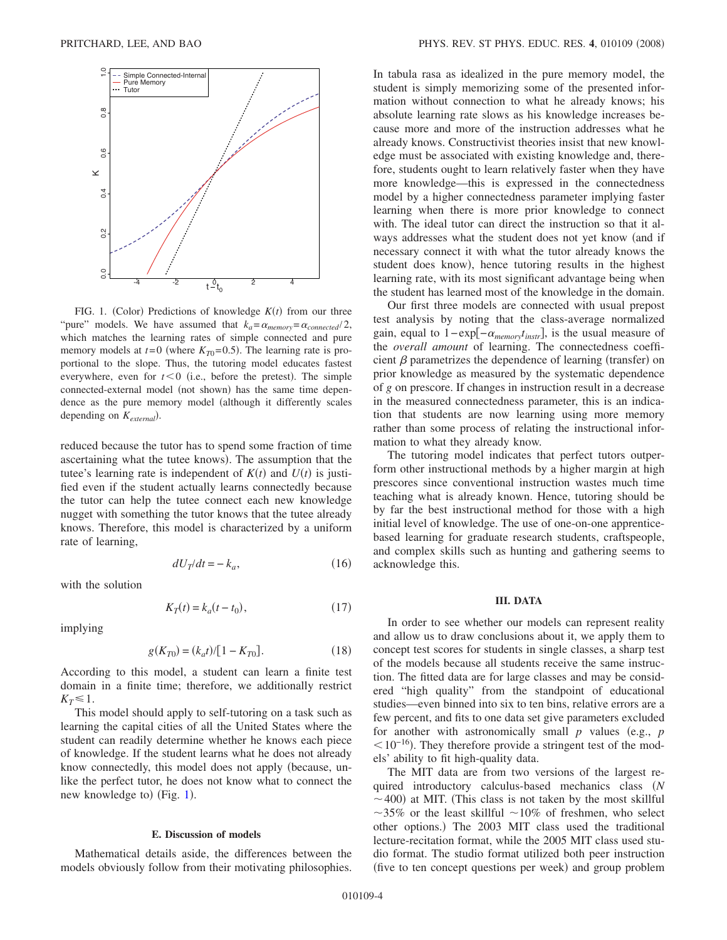<span id="page-3-0"></span>

FIG. 1. (Color) Predictions of knowledge  $K(t)$  from our three "pure" models. We have assumed that  $k_a = \alpha_{memory} = \alpha_{connected}/2$ , which matches the learning rates of simple connected and pure memory models at  $t=0$  (where  $K_{T0}=0.5$ ). The learning rate is proportional to the slope. Thus, the tutoring model educates fastest everywhere, even for  $t < 0$  (i.e., before the pretest). The simple connected-external model (not shown) has the same time dependence as the pure memory model (although it differently scales depending on  $K_{external}$ ).

reduced because the tutor has to spend some fraction of time ascertaining what the tutee knows). The assumption that the tutee's learning rate is independent of  $K(t)$  and  $U(t)$  is justified even if the student actually learns connectedly because the tutor can help the tutee connect each new knowledge nugget with something the tutor knows that the tutee already knows. Therefore, this model is characterized by a uniform rate of learning,

$$
dU_T/dt = -k_a,\t\t(16)
$$

with the solution

$$
K_T(t) = k_a(t - t_0),
$$
\n(17)

implying

$$
g(K_{T0}) = (k_a t) / [1 - K_{T0}].
$$
 (18)

According to this model, a student can learn a finite test domain in a finite time; therefore, we additionally restrict  $K_T \leq 1$ .

This model should apply to self-tutoring on a task such as learning the capital cities of all the United States where the student can readily determine whether he knows each piece of knowledge. If the student learns what he does not already know connectedly, this model does not apply (because, unlike the perfect tutor, he does not know what to connect the new knowledge to) (Fig. [1](#page-3-0)).

## **E. Discussion of models**

Mathematical details aside, the differences between the models obviously follow from their motivating philosophies. In tabula rasa as idealized in the pure memory model, the student is simply memorizing some of the presented information without connection to what he already knows; his absolute learning rate slows as his knowledge increases because more and more of the instruction addresses what he already knows. Constructivist theories insist that new knowledge must be associated with existing knowledge and, therefore, students ought to learn relatively faster when they have more knowledge—this is expressed in the connectedness model by a higher connectedness parameter implying faster learning when there is more prior knowledge to connect with. The ideal tutor can direct the instruction so that it always addresses what the student does not yet know (and if necessary connect it with what the tutor already knows the student does know), hence tutoring results in the highest learning rate, with its most significant advantage being when the student has learned most of the knowledge in the domain.

Our first three models are connected with usual prepost test analysis by noting that the class-average normalized gain, equal to  $1 - \exp[-\alpha_{memory}t_{instr}]$ , is the usual measure of the *overall amount* of learning. The connectedness coefficient  $\beta$  parametrizes the dependence of learning (transfer) on prior knowledge as measured by the systematic dependence of *g* on prescore. If changes in instruction result in a decrease in the measured connectedness parameter, this is an indication that students are now learning using more memory rather than some process of relating the instructional information to what they already know.

The tutoring model indicates that perfect tutors outperform other instructional methods by a higher margin at high prescores since conventional instruction wastes much time teaching what is already known. Hence, tutoring should be by far the best instructional method for those with a high initial level of knowledge. The use of one-on-one apprenticebased learning for graduate research students, craftspeople, and complex skills such as hunting and gathering seems to acknowledge this.

#### **III. DATA**

In order to see whether our models can represent reality and allow us to draw conclusions about it, we apply them to concept test scores for students in single classes, a sharp test of the models because all students receive the same instruction. The fitted data are for large classes and may be considered "high quality" from the standpoint of educational studies—even binned into six to ten bins, relative errors are a few percent, and fits to one data set give parameters excluded for another with astronomically small  $p$  values (e.g.,  $p$  $10^{-16}$ ). They therefore provide a stringent test of the models' ability to fit high-quality data.

The MIT data are from two versions of the largest required introductory calculus-based mechanics class *N*  $\sim$  400) at MIT. (This class is not taken by the most skillful  $\sim$ 35% or the least skillful  $\sim$ 10% of freshmen, who select other options.) The 2003 MIT class used the traditional lecture-recitation format, while the 2005 MIT class used studio format. The studio format utilized both peer instruction (five to ten concept questions per week) and group problem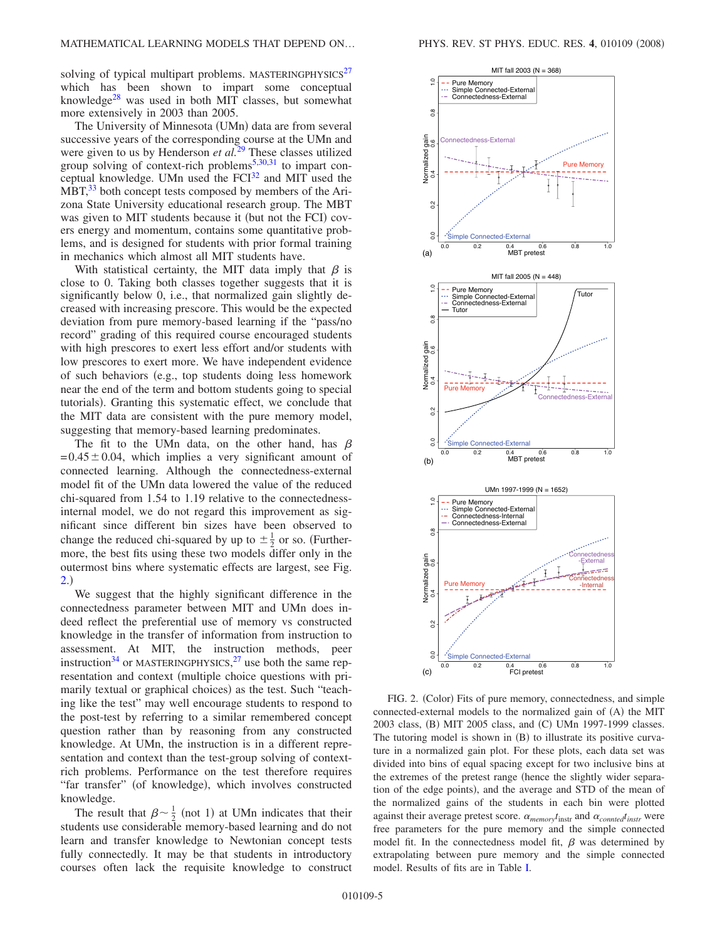solving of typical multipart problems. MASTERINGPHYSICS<sup>[27](#page-7-19)</sup> which has been shown to impart some conceptual knowledge $28$  was used in both MIT classes, but somewhat more extensively in 2003 than 2005.

The University of Minnesota (UMn) data are from several successive years of the corresponding course at the UMn and were given to us by Henderson *et al.*<sup>[29](#page-7-21)</sup> These classes utilized group solving of context-rich problems<sup>5,[30,](#page-7-23)[31](#page-7-24)</sup> to impart conceptual knowledge. UMn used the  $FCI<sup>32</sup>$  and MIT used the MBT,<sup>[33](#page-7-26)</sup> both concept tests composed by members of the Arizona State University educational research group. The MBT was given to MIT students because it (but not the FCI) covers energy and momentum, contains some quantitative problems, and is designed for students with prior formal training in mechanics which almost all MIT students have.

With statistical certainty, the MIT data imply that  $\beta$  is close to 0. Taking both classes together suggests that it is significantly below 0, i.e., that normalized gain slightly decreased with increasing prescore. This would be the expected deviation from pure memory-based learning if the "pass/no record" grading of this required course encouraged students with high prescores to exert less effort and/or students with low prescores to exert more. We have independent evidence of such behaviors (e.g., top students doing less homework near the end of the term and bottom students going to special tutorials). Granting this systematic effect, we conclude that the MIT data are consistent with the pure memory model, suggesting that memory-based learning predominates.

The fit to the UMn data, on the other hand, has  $\beta$  $=0.45\pm0.04$ , which implies a very significant amount of connected learning. Although the connectedness-external model fit of the UMn data lowered the value of the reduced chi-squared from 1.54 to 1.19 relative to the connectednessinternal model, we do not regard this improvement as significant since different bin sizes have been observed to change the reduced chi-squared by up to  $\pm \frac{1}{2}$  or so. (Furthermore, the best fits using these two models differ only in the outermost bins where systematic effects are largest, see Fig.  $2.)$  $2.)$ 

We suggest that the highly significant difference in the connectedness parameter between MIT and UMn does indeed reflect the preferential use of memory vs constructed knowledge in the transfer of information from instruction to assessment. At MIT, the instruction methods, peer instruction<sup>34</sup> or MASTERINGPHYSICS, $^{27}$  $^{27}$  $^{27}$  use both the same representation and context (multiple choice questions with primarily textual or graphical choices) as the test. Such "teaching like the test" may well encourage students to respond to the post-test by referring to a similar remembered concept question rather than by reasoning from any constructed knowledge. At UMn, the instruction is in a different representation and context than the test-group solving of contextrich problems. Performance on the test therefore requires "far transfer" (of knowledge), which involves constructed knowledge.

The result that  $\beta \sim \frac{1}{2}$  (not 1) at UMn indicates that their students use considerable memory-based learning and do not learn and transfer knowledge to Newtonian concept tests fully connectedly. It may be that students in introductory courses often lack the requisite knowledge to construct

<span id="page-4-0"></span>

FIG. 2. (Color) Fits of pure memory, connectedness, and simple connected-external models to the normalized gain of (A) the MIT 2003 class, (B) MIT 2005 class, and (C) UMn 1997-1999 classes. The tutoring model is shown in (B) to illustrate its positive curvature in a normalized gain plot. For these plots, each data set was divided into bins of equal spacing except for two inclusive bins at the extremes of the pretest range (hence the slightly wider separation of the edge points), and the average and STD of the mean of the normalized gains of the students in each bin were plotted against their average pretest score.  $\alpha_{memory}t_{\text{instr}}$  and  $\alpha_{counted}t_{\text{instr}}$  were free parameters for the pure memory and the simple connected model fit. In the connectedness model fit,  $\beta$  was determined by extrapolating between pure memory and the simple connected model. Results of fits are in Table [I.](#page-5-0)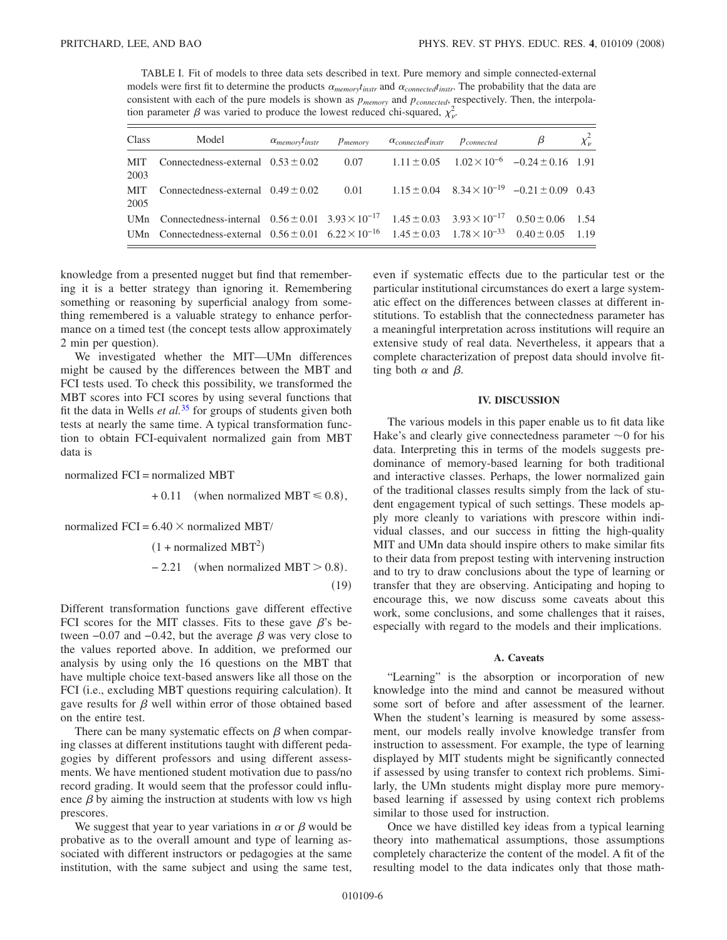<span id="page-5-0"></span>TABLE I. Fit of models to three data sets described in text. Pure memory and simple connected-external models were first fit to determine the products  $\alpha_{memory}t_{instr}$  and  $\alpha_{connect}t_{instr}$ . The probability that the data are consistent with each of the pure models is shown as *pmemory* and *pconnected*, respectively. Then, the interpolation parameter  $\beta$  was varied to produce the lowest reduced chi-squared,  $\chi^2_{\nu}$ .

| Class | Model                                                                                                                                                                                                                                                          |  | $\alpha_{memory}$ tinstr $p_{memory}$ $\alpha_{connected}$ tinstr $p_{connected}$ |  | $\chi^2_{\nu}$ |
|-------|----------------------------------------------------------------------------------------------------------------------------------------------------------------------------------------------------------------------------------------------------------------|--|-----------------------------------------------------------------------------------|--|----------------|
| 2003  | MIT Connectedness-external $0.53 \pm 0.02$ $0.07$ $1.11 \pm 0.05$ $1.02 \times 10^{-6}$ $-0.24 \pm 0.16$ 1.91                                                                                                                                                  |  |                                                                                   |  |                |
| 2005  | MIT Connectedness-external $0.49 \pm 0.02$ $0.01$ $1.15 \pm 0.04$ $8.34 \times 10^{-19}$ $-0.21 \pm 0.09$ 0.43                                                                                                                                                 |  |                                                                                   |  |                |
|       | UMn Connectedness-internal $0.56 \pm 0.01$ $3.93 \times 10^{-17}$ $1.45 \pm 0.03$ $3.93 \times 10^{-17}$ $0.50 \pm 0.06$ 1.54<br>UMn Connectedness-external $0.56 \pm 0.01$ $6.22 \times 10^{-16}$ $1.45 \pm 0.03$ $1.78 \times 10^{-33}$ $0.40 \pm 0.05$ 1.19 |  |                                                                                   |  |                |

knowledge from a presented nugget but find that remembering it is a better strategy than ignoring it. Remembering something or reasoning by superficial analogy from something remembered is a valuable strategy to enhance performance on a timed test (the concept tests allow approximately 2 min per question).

We investigated whether the MIT—UMn differences might be caused by the differences between the MBT and FCI tests used. To check this possibility, we transformed the MBT scores into FCI scores by using several functions that fit the data in Wells *et al.*[35](#page-7-28) for groups of students given both tests at nearly the same time. A typical transformation function to obtain FCI-equivalent normalized gain from MBT data is

normalized FCI = normalized MBT

 $+ 0.11$  (when normalized MBT  $\leq 0.8$ ),

normalized  $FCI = 6.40 \times normalized MBT/$ 

$$
(1 + normalized MBT2)
$$
  
- 2.21 (when normalized MBT > 0.8).  
(19)

Different transformation functions gave different effective FCI scores for the MIT classes. Fits to these gave  $\beta$ 's between  $-0.07$  and  $-0.42$ , but the average β was very close to the values reported above. In addition, we preformed our analysis by using only the 16 questions on the MBT that have multiple choice text-based answers like all those on the FCI (i.e., excluding MBT questions requiring calculation). It gave results for  $\beta$  well within error of those obtained based on the entire test.

There can be many systematic effects on  $\beta$  when comparing classes at different institutions taught with different pedagogies by different professors and using different assessments. We have mentioned student motivation due to pass/no record grading. It would seem that the professor could influence  $\beta$  by aiming the instruction at students with low vs high prescores.

We suggest that year to year variations in  $\alpha$  or  $\beta$  would be probative as to the overall amount and type of learning associated with different instructors or pedagogies at the same institution, with the same subject and using the same test, even if systematic effects due to the particular test or the particular institutional circumstances do exert a large systematic effect on the differences between classes at different institutions. To establish that the connectedness parameter has a meaningful interpretation across institutions will require an extensive study of real data. Nevertheless, it appears that a complete characterization of prepost data should involve fitting both  $\alpha$  and  $\beta$ .

#### **IV. DISCUSSION**

The various models in this paper enable us to fit data like Hake's and clearly give connectedness parameter  $\sim$ 0 for his data. Interpreting this in terms of the models suggests predominance of memory-based learning for both traditional and interactive classes. Perhaps, the lower normalized gain of the traditional classes results simply from the lack of student engagement typical of such settings. These models apply more cleanly to variations with prescore within individual classes, and our success in fitting the high-quality MIT and UMn data should inspire others to make similar fits to their data from prepost testing with intervening instruction and to try to draw conclusions about the type of learning or transfer that they are observing. Anticipating and hoping to encourage this, we now discuss some caveats about this work, some conclusions, and some challenges that it raises, especially with regard to the models and their implications.

## **A. Caveats**

"Learning" is the absorption or incorporation of new knowledge into the mind and cannot be measured without some sort of before and after assessment of the learner. When the student's learning is measured by some assessment, our models really involve knowledge transfer from instruction to assessment. For example, the type of learning displayed by MIT students might be significantly connected if assessed by using transfer to context rich problems. Similarly, the UMn students might display more pure memorybased learning if assessed by using context rich problems similar to those used for instruction.

Once we have distilled key ideas from a typical learning theory into mathematical assumptions, those assumptions completely characterize the content of the model. A fit of the resulting model to the data indicates only that those math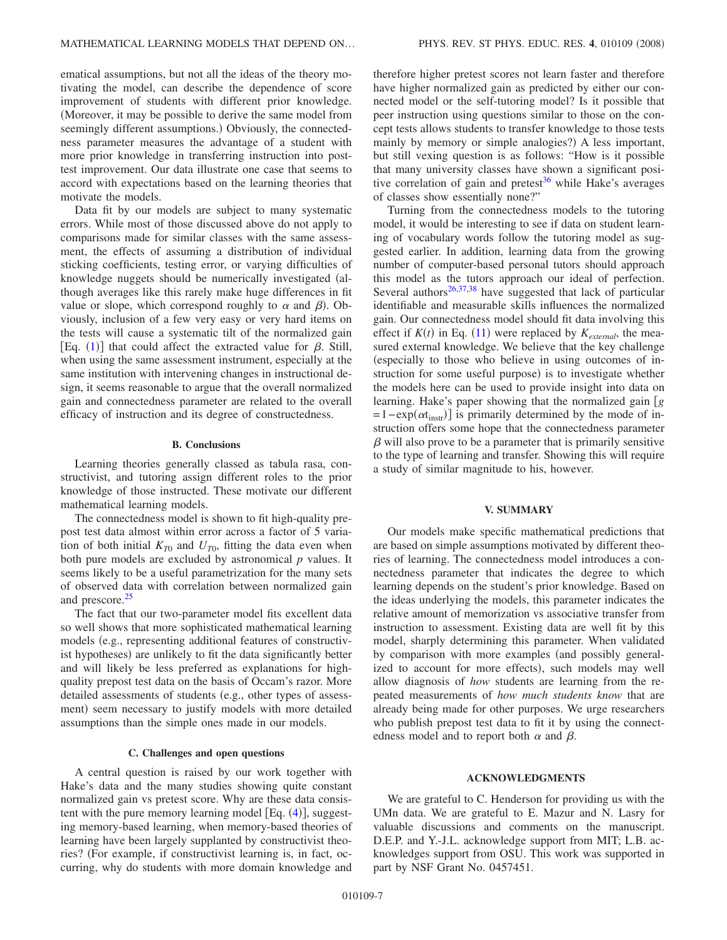ematical assumptions, but not all the ideas of the theory motivating the model, can describe the dependence of score improvement of students with different prior knowledge. Moreover, it may be possible to derive the same model from seemingly different assumptions.) Obviously, the connectedness parameter measures the advantage of a student with more prior knowledge in transferring instruction into posttest improvement. Our data illustrate one case that seems to accord with expectations based on the learning theories that motivate the models.

Data fit by our models are subject to many systematic errors. While most of those discussed above do not apply to comparisons made for similar classes with the same assessment, the effects of assuming a distribution of individual sticking coefficients, testing error, or varying difficulties of knowledge nuggets should be numerically investigated (although averages like this rarely make huge differences in fit value or slope, which correspond roughly to  $\alpha$  and  $\beta$ ). Obviously, inclusion of a few very easy or very hard items on the tests will cause a systematic tilt of the normalized gain [Eq. ([1](#page-1-1))] that could affect the extracted value for  $\beta$ . Still, when using the same assessment instrument, especially at the same institution with intervening changes in instructional design, it seems reasonable to argue that the overall normalized gain and connectedness parameter are related to the overall efficacy of instruction and its degree of constructedness.

### **B. Conclusions**

Learning theories generally classed as tabula rasa, constructivist, and tutoring assign different roles to the prior knowledge of those instructed. These motivate our different mathematical learning models.

The connectedness model is shown to fit high-quality prepost test data almost within error across a factor of 5 variation of both initial  $K_{T0}$  and  $U_{T0}$ , fitting the data even when both pure models are excluded by astronomical *p* values. It seems likely to be a useful parametrization for the many sets of observed data with correlation between normalized gain and prescore.<sup>25</sup>

The fact that our two-parameter model fits excellent data so well shows that more sophisticated mathematical learning models (e.g., representing additional features of constructivist hypotheses) are unlikely to fit the data significantly better and will likely be less preferred as explanations for highquality prepost test data on the basis of Occam's razor. More detailed assessments of students (e.g., other types of assessment) seem necessary to justify models with more detailed assumptions than the simple ones made in our models.

#### **C. Challenges and open questions**

A central question is raised by our work together with Hake's data and the many studies showing quite constant normalized gain vs pretest score. Why are these data consistent with the pure memory learning model  $[Eq. (4)]$  $[Eq. (4)]$  $[Eq. (4)]$ , suggesting memory-based learning, when memory-based theories of learning have been largely supplanted by constructivist theories? (For example, if constructivist learning is, in fact, occurring, why do students with more domain knowledge and therefore higher pretest scores not learn faster and therefore have higher normalized gain as predicted by either our connected model or the self-tutoring model? Is it possible that peer instruction using questions similar to those on the concept tests allows students to transfer knowledge to those tests mainly by memory or simple analogies?) A less important, but still vexing question is as follows: "How is it possible that many university classes have shown a significant positive correlation of gain and pretest $36$  while Hake's averages of classes show essentially none?"

Turning from the connectedness models to the tutoring model, it would be interesting to see if data on student learning of vocabulary words follow the tutoring model as suggested earlier. In addition, learning data from the growing number of computer-based personal tutors should approach this model as the tutors approach our ideal of perfection. Several authors<sup>26[,37,](#page-7-30)[38](#page-7-31)</sup> have suggested that lack of particular identifiable and measurable skills influences the normalized gain. Our connectedness model should fit data involving this effect if  $K(t)$  in Eq. ([11](#page-2-1)) were replaced by  $K_{external}$ , the measured external knowledge. We believe that the key challenge especially to those who believe in using outcomes of instruction for some useful purpose) is to investigate whether the models here can be used to provide insight into data on learning. Hake's paper showing that the normalized gain *g*  $=1-\exp(\alpha t_{\text{instr}})$  is primarily determined by the mode of instruction offers some hope that the connectedness parameter  $\beta$  will also prove to be a parameter that is primarily sensitive to the type of learning and transfer. Showing this will require a study of similar magnitude to his, however.

### **V. SUMMARY**

Our models make specific mathematical predictions that are based on simple assumptions motivated by different theories of learning. The connectedness model introduces a connectedness parameter that indicates the degree to which learning depends on the student's prior knowledge. Based on the ideas underlying the models, this parameter indicates the relative amount of memorization vs associative transfer from instruction to assessment. Existing data are well fit by this model, sharply determining this parameter. When validated by comparison with more examples (and possibly generalized to account for more effects), such models may well allow diagnosis of *how* students are learning from the repeated measurements of *how much students know* that are already being made for other purposes. We urge researchers who publish prepost test data to fit it by using the connectedness model and to report both  $\alpha$  and  $\beta$ .

## **ACKNOWLEDGMENTS**

We are grateful to C. Henderson for providing us with the UMn data. We are grateful to E. Mazur and N. Lasry for valuable discussions and comments on the manuscript. D.E.P. and Y.-J.L. acknowledge support from MIT; L.B. acknowledges support from OSU. This work was supported in part by NSF Grant No. 0457451.